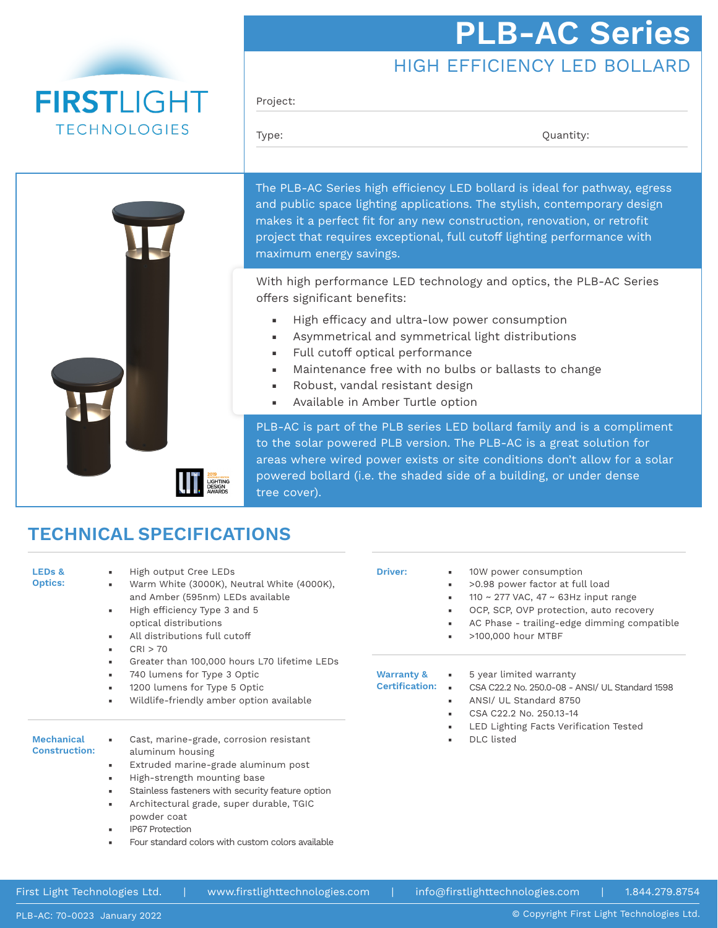# **PLB-AC Series**

## HIGH EFFICIENCY LED BOLLARD

**FIRSTLIGHT TECHNOLOGIES** 



#### Project:

Type:  $Q$ uantity:

The PLB-AC Series high efficiency LED bollard is ideal for pathway, egress and public space lighting applications. The stylish, contemporary design makes it a perfect fit for any new construction, renovation, or retrofit project that requires exceptional, full cutoff lighting performance with maximum energy savings.

With high performance LED technology and optics, the PLB-AC Series offers significant benefits:

- High efficacy and ultra-low power consumption
- Asymmetrical and symmetrical light distributions
- Full cutoff optical performance
- Maintenance free with no bulbs or ballasts to change
- Robust, vandal resistant design
- Available in Amber Turtle option

PLB-AC is part of the PLB series LED bollard family and is a compliment to the solar powered PLB version. The PLB-AC is a great solution for areas where wired power exists or site conditions don't allow for a solar powered bollard (i.e. the shaded side of a building, or under dense tree cover).

### **TECHNICAL SPECIFICATIONS**

| LED <sub>s</sub> &<br><b>Optics:</b>      | High output Cree LEDs<br>л.<br>Warm White (3000K), Neutral White (4000K),<br>$\blacksquare$<br>and Amber (595nm) LEDs available<br>High efficiency Type 3 and 5<br>×.<br>optical distributions<br>All distributions full cutoff<br>л.<br>CRI > 70<br>л.                                                                                                                                       | <b>Driver:</b>                                 | 10W power consumption<br>>0.98 power factor at full load<br>110 ~ 277 VAC, 47 ~ 63Hz input range<br>۰.<br>OCP, SCP, OVP protection, auto recovery<br>ж.<br>AC Phase - trailing-edge dimming compatible<br>>100,000 hour MTBF |  |
|-------------------------------------------|-----------------------------------------------------------------------------------------------------------------------------------------------------------------------------------------------------------------------------------------------------------------------------------------------------------------------------------------------------------------------------------------------|------------------------------------------------|------------------------------------------------------------------------------------------------------------------------------------------------------------------------------------------------------------------------------|--|
|                                           | Greater than 100,000 hours L70 lifetime LEDs<br>$\blacksquare$<br>740 lumens for Type 3 Optic<br>л.<br>1200 lumens for Type 5 Optic<br>$\blacksquare$<br>Wildlife-friendly amber option available<br>л.                                                                                                                                                                                       | <b>Warranty &amp;</b><br><b>Certification:</b> | 5 year limited warranty<br>$\mathbf{r}$ .<br>CSA C22.2 No. 250.0-08 - ANSI/ UL Standard 1598<br>×.<br>ANSI/ UL Standard 8750<br>۰.<br>CSA C22.2 No. 250.13-14                                                                |  |
| <b>Mechanical</b><br><b>Construction:</b> | Cast, marine-grade, corrosion resistant<br>٠<br>aluminum housing<br>Extruded marine-grade aluminum post<br>×.<br>High-strength mounting base<br>л.<br>Stainless fasteners with security feature option<br>л.<br>Architectural grade, super durable, TGIC<br>$\blacksquare$<br>powder coat<br><b>IP67 Protection</b><br>$\mathbf{u}$<br>Four standard colors with custom colors available<br>٠ |                                                | LED Lighting Facts Verification Tested<br><b>DLC</b> listed<br>۰.                                                                                                                                                            |  |

First Light Technologies Ltd. | www.firstlighttechnologies.com | info@firstlighttechnologies.com | 1.844.279.8754

© Copyright First Light Technologies Ltd.